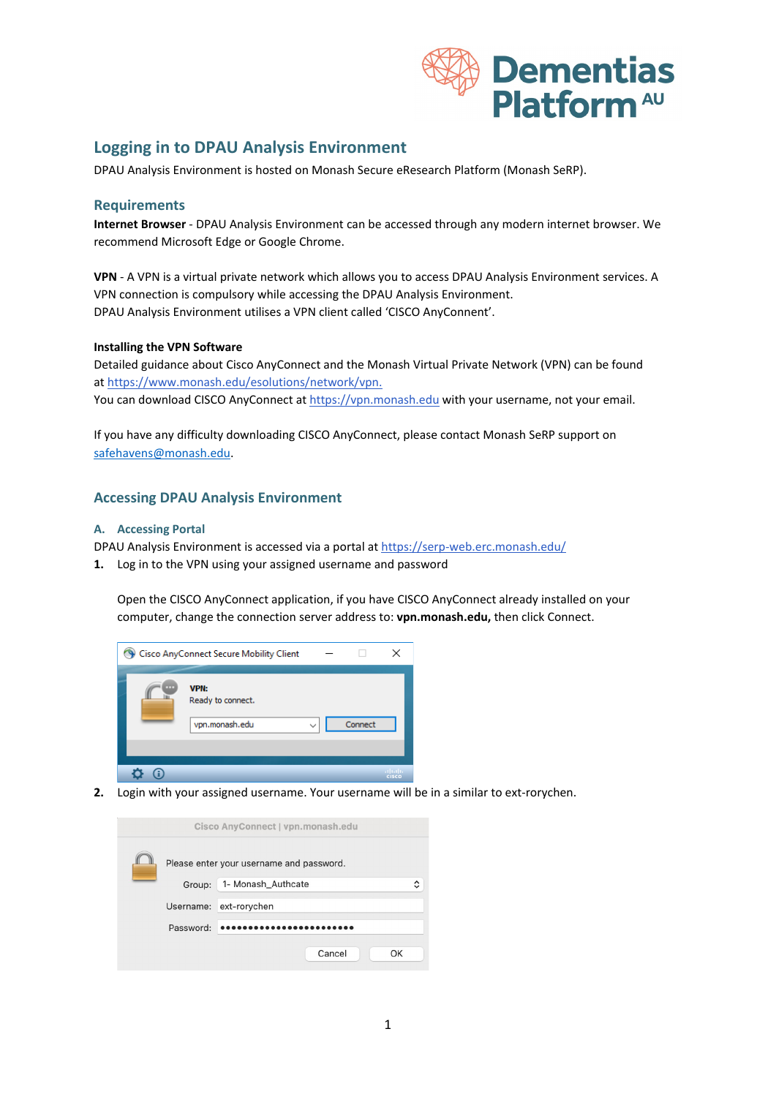

## **Logging in to DPAU Analysis Environment**

DPAU Analysis Environment is hosted on Monash Secure eResearch Platform (Monash SeRP).

#### **Requirements**

**Internet Browser** - DPAU Analysis Environment can be accessed through any modern internet browser. We recommend Microsoft Edge or Google Chrome.

**VPN** - A VPN is a virtual private network which allows you to access DPAU Analysis Environment services. A VPN connection is compulsory while accessing the DPAU Analysis Environment. DPAU Analysis Environment utilises a VPN client called 'CISCO AnyConnent'.

#### **Installing the VPN Software**

Detailed guidance about Cisco AnyConnect and the Monash Virtual Private Network (VPN) can be found a[t https://www.monash.edu/esolutions/network/vpn.](https://www.monash.edu/esolutions/network/vpn) You can download CISCO AnyConnect at [https://vpn.monash.edu](https://vpn.monash.edu/) with your username, not your email.

If you have any difficulty downloading CISCO AnyConnect, please contact Monash SeRP support on [safehavens@monash.edu.](mailto:safehavens@monash.edu)

### **Accessing DPAU Analysis Environment**

#### **A. Accessing Portal**

DPAU Analysis Environment is accessed via a portal at <https://serp-web.erc.monash.edu/>

**1.** Log in to the VPN using your assigned username and password

Open the CISCO AnyConnect application, if you have CISCO AnyConnect already installed on your computer, change the connection server address to: **vpn.monash.edu,** then click Connect.



**2.** Login with your assigned username. Your username will be in a similar to ext-rorychen.

| Cisco AnyConnect   vpn.monash.edu |                                          |                         |  |  |  |  |
|-----------------------------------|------------------------------------------|-------------------------|--|--|--|--|
|                                   | Please enter your username and password. |                         |  |  |  |  |
|                                   | Group:                                   | 1- Monash_Authcate<br>^ |  |  |  |  |
|                                   | Username:                                | ext-rorychen            |  |  |  |  |
|                                   | Password:                                |                         |  |  |  |  |
|                                   |                                          | Cancel<br>OK            |  |  |  |  |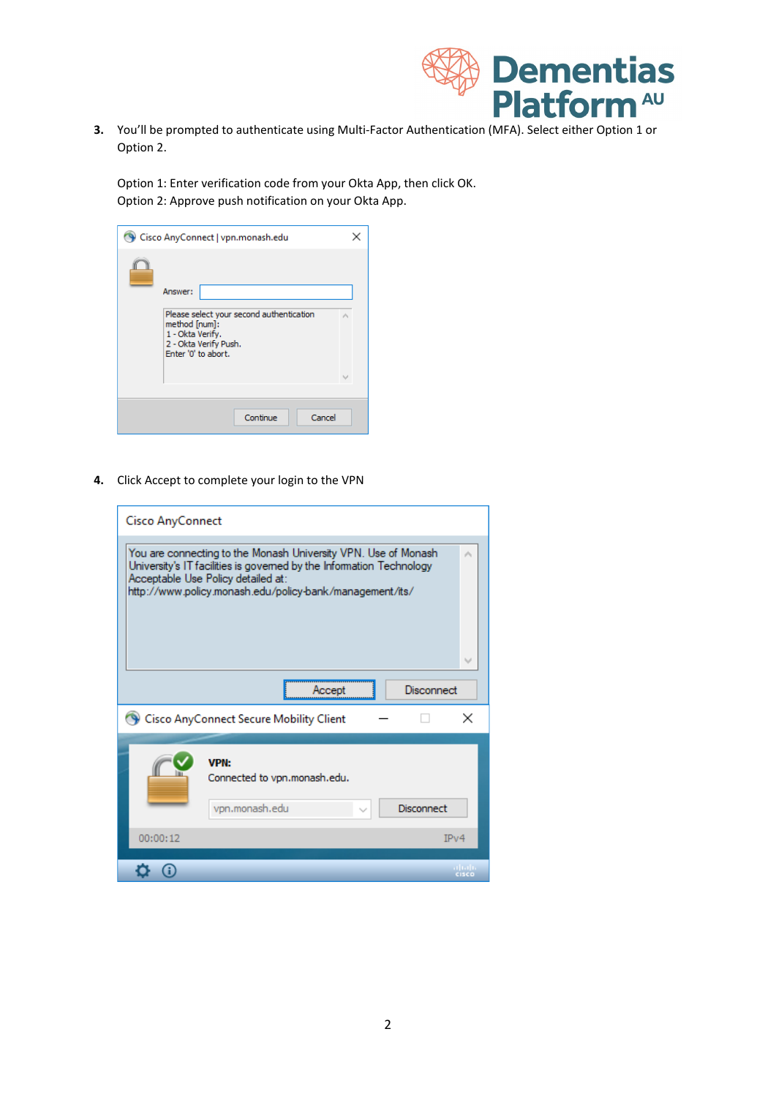

**3.** You'll be prompted to authenticate using Multi-Factor Authentication (MFA). Select either Option 1 or Option 2.

Option 1: Enter verification code from your Okta App, then click OK. Option 2: Approve push notification on your Okta App.

| Cisco AnyConnect   vpn.monash.edu                                                                                                        |  |
|------------------------------------------------------------------------------------------------------------------------------------------|--|
| Answer:<br>Please select your second authentication<br>method [num]:<br>1 - Okta Verify.<br>2 - Okta Verify Push.<br>Enter '0' to abort. |  |
| Cancel<br>Continue                                                                                                                       |  |

**4.** Click Accept to complete your login to the VPN

| <b>Cisco AnyConnect</b>                                                                                                                                                                                                                  |   |  |  |
|------------------------------------------------------------------------------------------------------------------------------------------------------------------------------------------------------------------------------------------|---|--|--|
| You are connecting to the Monash University VPN. Use of Monash<br>University's IT facilities is governed by the Information Technology<br>Acceptable Use Policy detailed at:<br>http://www.policy.monash.edu/policy-bank/management/its/ |   |  |  |
| Disconnect<br>Accept                                                                                                                                                                                                                     |   |  |  |
| Cisco AnyConnect Secure Mobility Client                                                                                                                                                                                                  | × |  |  |
| <b>VPN:</b><br>Connected to vpn.monash.edu.<br>vpn.monash.edu<br>Disconnect                                                                                                                                                              |   |  |  |
| 00:00:12<br>IPv4                                                                                                                                                                                                                         |   |  |  |
| C ISCO                                                                                                                                                                                                                                   |   |  |  |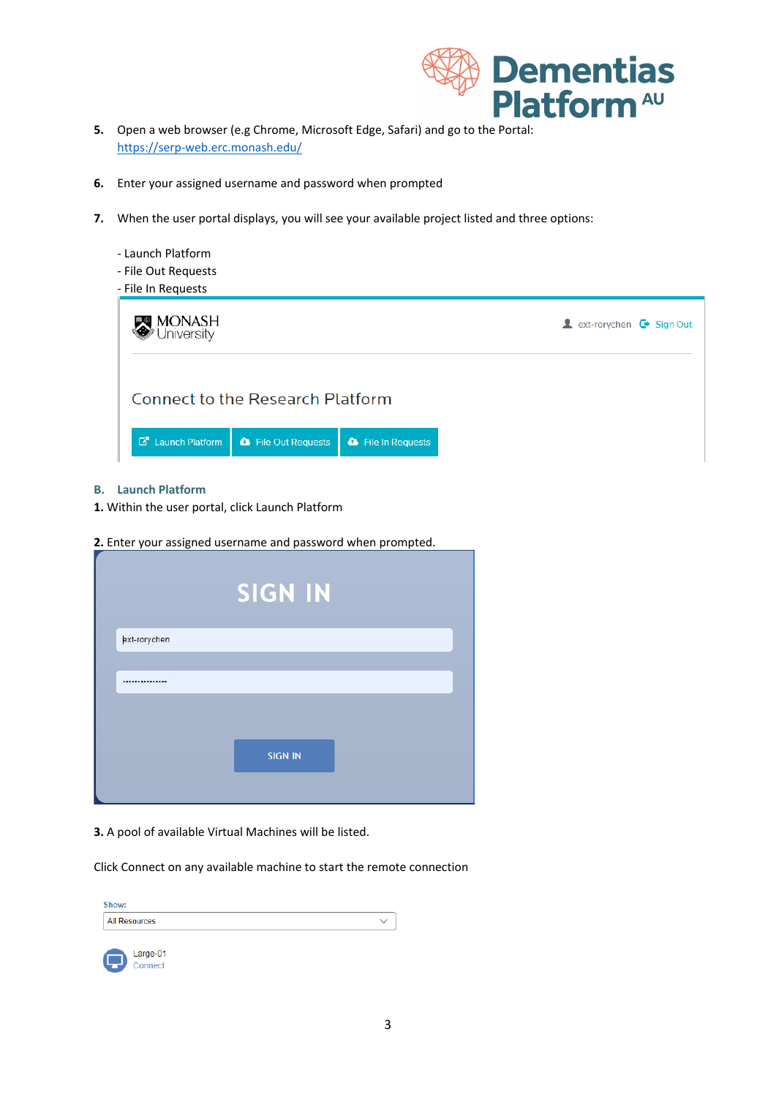

- **5.** Open a web browser (e.g Chrome, Microsoft Edge, Safari) and go to the Portal: <https://serp-web.erc.monash.edu/>
- **6.** Enter your assigned username and password when prompted
- **7.** When the user portal displays, you will see your available project listed and three options:

| - Launch Platform<br>- File Out Requests<br>- File In Requests |                           |                                                                             |
|----------------------------------------------------------------|---------------------------|-----------------------------------------------------------------------------|
| MONASH<br>Jniversity                                           |                           | <b>A</b> ext-rorychen $\mathbf{\mathbf{\mathsf{C}}}\triangleright$ Sign Out |
| <b>Connect to the Research Platform</b>                        |                           |                                                                             |
| <b>C</b> Launch Platform<br><b>&amp;</b> File Out Requests     | <b>a</b> File In Requests |                                                                             |

#### **B. Launch Platform**

- **1.** Within the user portal, click Launch Platform
- **2.** Enter your assigned username and password when prompted.

|              | <b>SIGN IN</b> |
|--------------|----------------|
| ext-rorychen |                |
|              |                |
|              |                |
|              | <b>SIGN IN</b> |
|              |                |

**3.** A pool of available Virtual Machines will be listed.

Click Connect on any available machine to start the remote connection

| Show:                |  |
|----------------------|--|
| <b>All Resources</b> |  |
|                      |  |

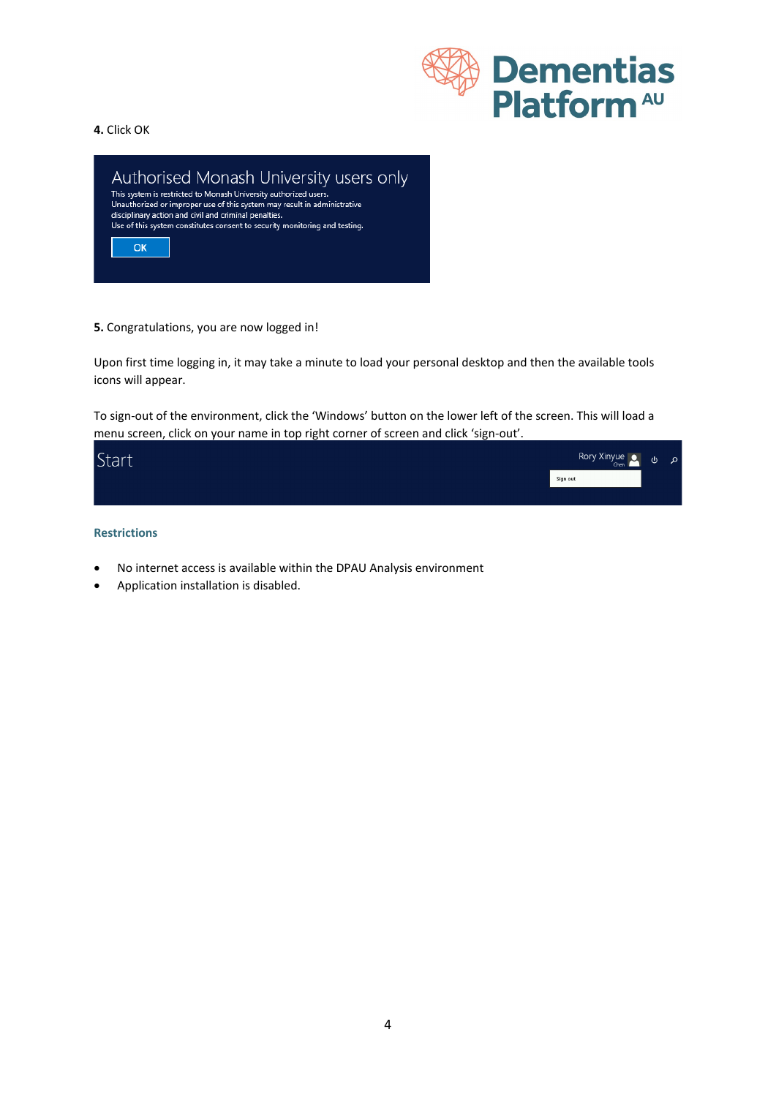

#### **4.** Click OK



**5.** Congratulations, you are now logged in!

Upon first time logging in, it may take a minute to load your personal desktop and then the available tools icons will appear.

To sign-out of the environment, click the 'Windows' button on the lower left of the screen. This will load a menu screen, click on your name in top right corner of screen and click 'sign-out'.



#### **Restrictions**

- No internet access is available within the DPAU Analysis environment
- Application installation is disabled.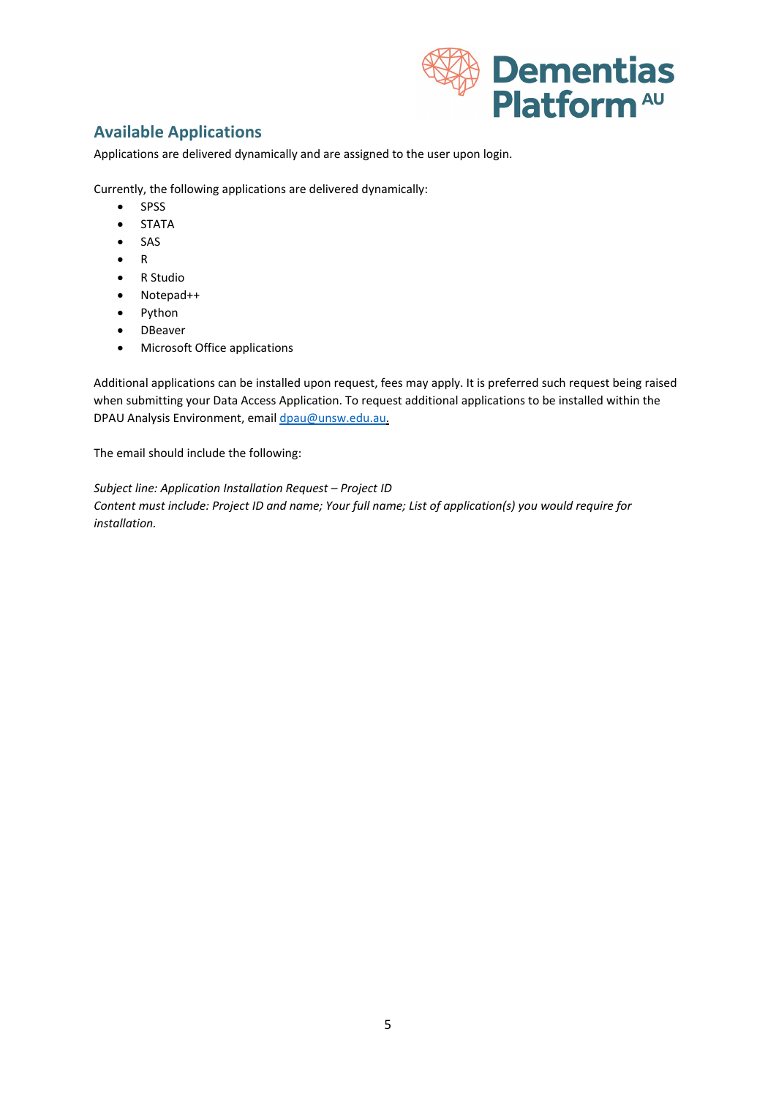

# **Available Applications**

Applications are delivered dynamically and are assigned to the user upon login.

Currently, the following applications are delivered dynamically:

- SPSS
- STATA
- SAS
- R
- R Studio
- Notepad++
- Python
- DBeaver
- Microsoft Office applications

Additional applications can be installed upon request, fees may apply. It is preferred such request being raised when submitting your Data Access Application. To request additional applications to be installed within the DPAU Analysis Environment, email [dpau@unsw.edu.au.](mailto:dpau@unsw.edu.au)

The email should include the following:

*Subject line: Application Installation Request – Project ID Content must include: Project ID and name; Your full name; List of application(s) you would require for installation.*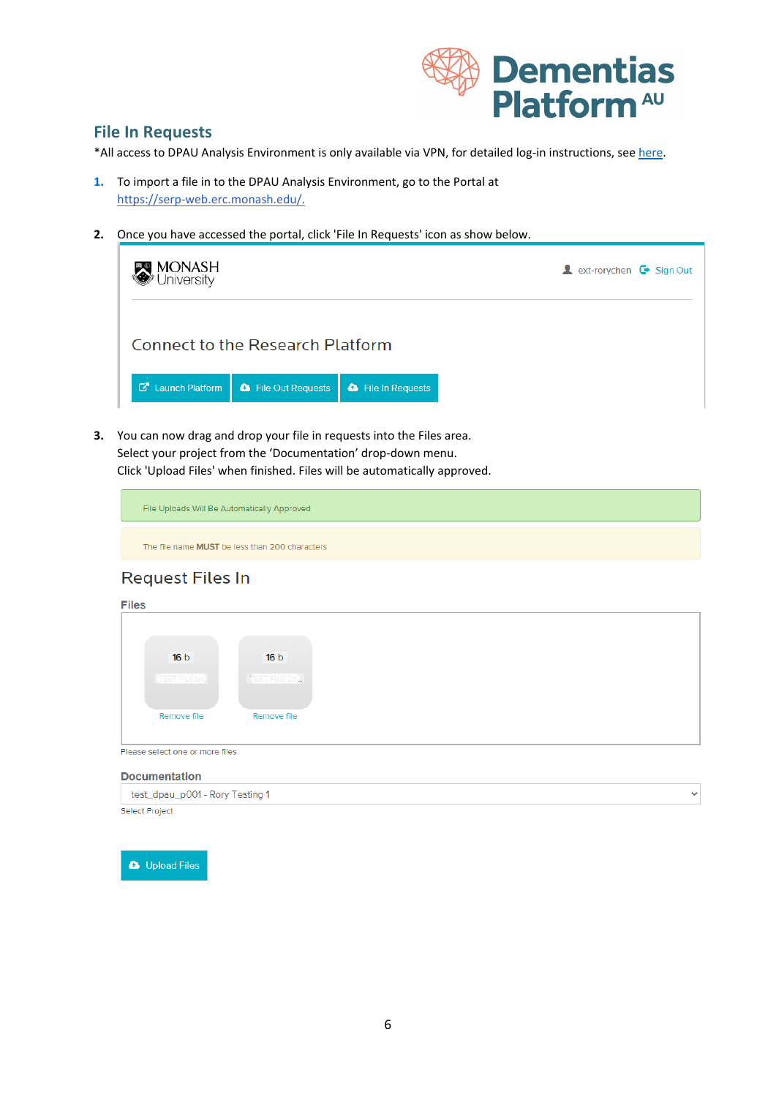

## **File In Requests**

\*All access to DPAU Analysis Environment is only available via VPN, for detailed log-in instructions, see [here.](https://dementiasplatform.com.au/sites/default/files/documents/1_Logging_in_to_DPAU_Analysis_Environment.pdf)

- **1.** To import a file in to the DPAU Analysis Environment, go to the Portal at [https://serp-web.erc.monash.edu/.](https://serp-web.erc.monash.edu/)
- **2.** Once you have accessed the portal, click 'File In Requests' icon as show below.

| M <b>ONASH</b><br>/ <sup>9</sup> University |                                         | <b>A</b> ext-rorychen $\mathbf{\mathsf{C}}$ Sign Out |  |
|---------------------------------------------|-----------------------------------------|------------------------------------------------------|--|
|                                             | <b>Connect to the Research Platform</b> |                                                      |  |
| <b>C</b> Launch Platform                    | <b>&amp;</b> File Out Requests          | <b>a</b> File In Requests                            |  |

**3.** You can now drag and drop your file in requests into the Files area. Select your project from the 'Documentation' drop-down menu. Click 'Upload Files' when finished. Files will be automatically approved.

| File Uploads Will Be Automatically Approved |  |  |
|---------------------------------------------|--|--|
|                                             |  |  |

The file name MUST be less than 200 characters

# **Request Files In**

| 16 <sub>b</sub>      | 16 <sub>b</sub> |  |  |
|----------------------|-----------------|--|--|
| <b>TEST FILE.bxt</b> | TEST FILE 2.t.  |  |  |
|                      |                 |  |  |
|                      |                 |  |  |
| Remove file          | Remove file     |  |  |
|                      |                 |  |  |
|                      |                 |  |  |

#### **Documentation**

| test_dpau_p001 - Rory Testing 1 |  |
|---------------------------------|--|
| Select Project                  |  |

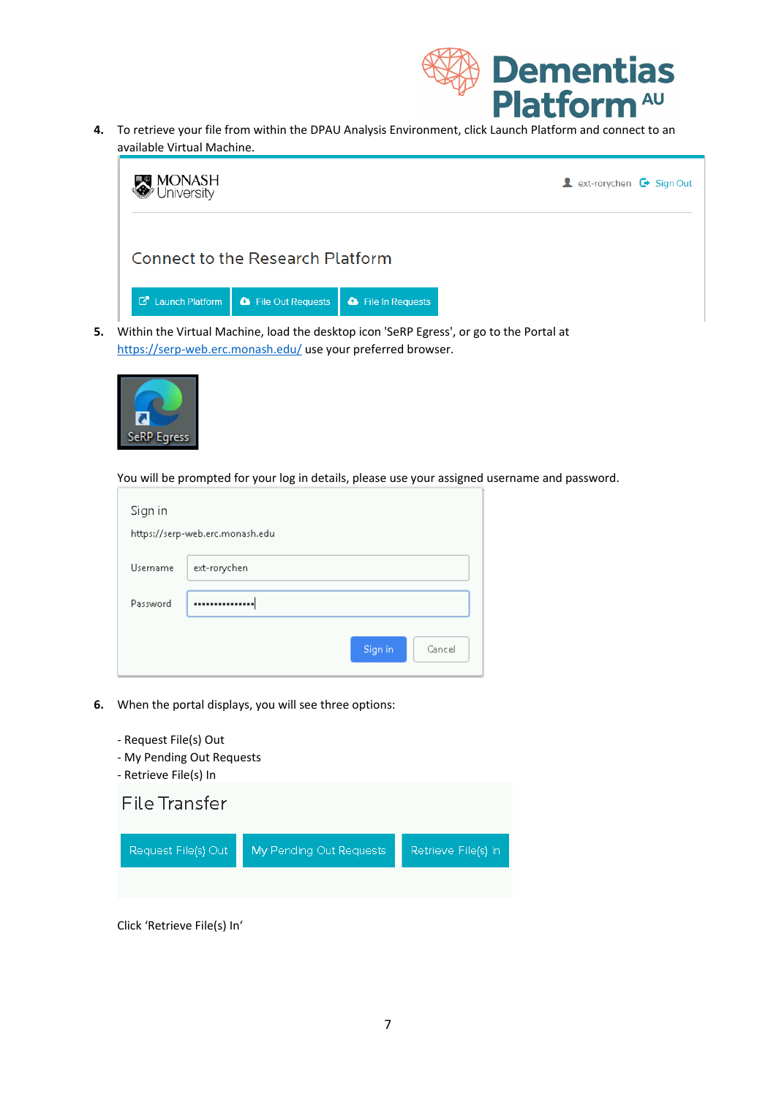

**4.** To retrieve your file from within the DPAU Analysis Environment, click Launch Platform and connect to an available Virtual Machine.



<https://serp-web.erc.monash.edu/> use your preferred browser.



You will be prompted for your log in details, please use your assigned username and password.

| Sign in  | https://serp-web.erc.monash.edu |
|----------|---------------------------------|
| Username | ext-rorychen                    |
| Password |                                 |
|          | Sign in<br>Cancel               |

- **6.** When the portal displays, you will see three options:
	- Request File(s) Out
	- My Pending Out Requests
	- Retrieve File(s) In



Click 'Retrieve File(s) In'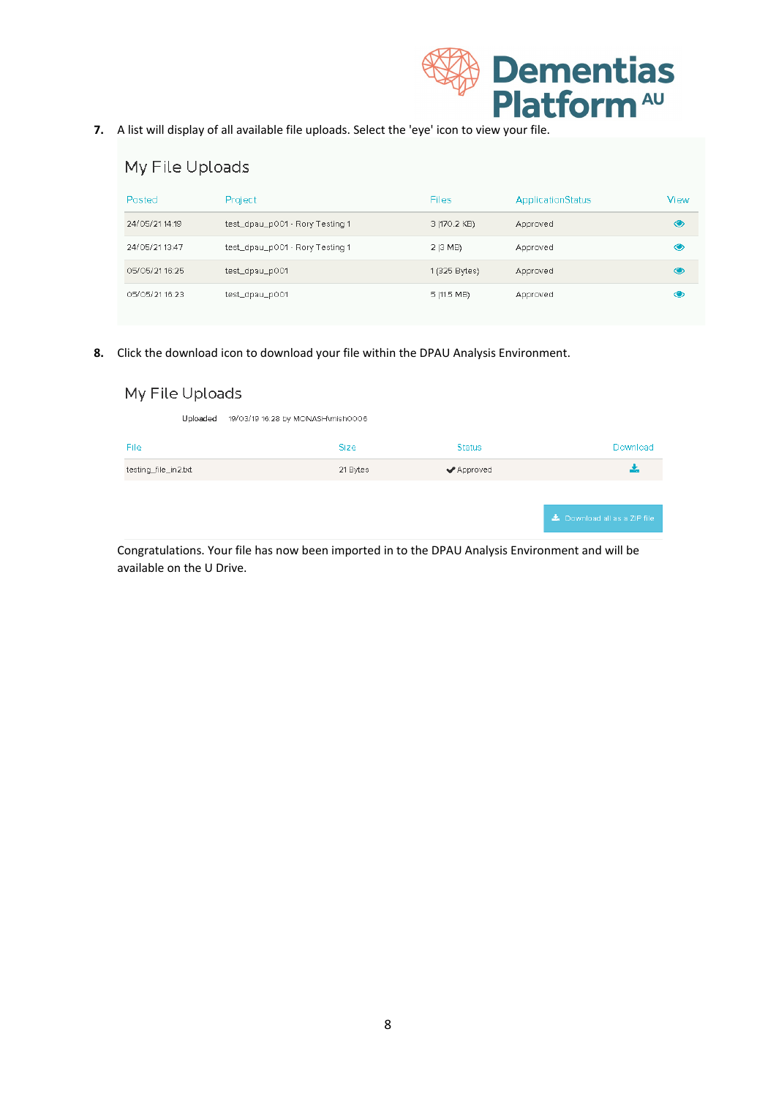

**7.** A list will display of all available file uploads. Select the 'eye' icon to view your file.

| My File Uploads |                                 |               |                          |               |  |
|-----------------|---------------------------------|---------------|--------------------------|---------------|--|
| Posted          | Project                         | <b>Files</b>  | <b>ApplicationStatus</b> | View          |  |
| 24/05/21 14:19  | test_dpau_p001 - Rory Testing 1 | 3 (170.2 KB)  | Approved                 | $\circledast$ |  |
| 24/05/21 13:47  | test_dpau_p001 - Rory Testing 1 | 2 (3 MB)      | Approved                 | ◉             |  |
| 05/05/21 16:25  | test_dpau_p001                  | 1 (325 Bytes) | Approved                 | ◉             |  |
| 05/05/21 16:23  | test_dpau_p001                  | 5 (11.5 MB)   | Approved                 | ◉             |  |

**8.** Click the download icon to download your file within the DPAU Analysis Environment.

| My File Uploads                               |             |               |                               |  |  |
|-----------------------------------------------|-------------|---------------|-------------------------------|--|--|
| 19/03/19 16:28 by MONASH\mish0006<br>Uploaded |             |               |                               |  |  |
| File                                          | <b>Size</b> | <b>Status</b> | Download                      |  |  |
| testing_file_in2.bd                           | 21 Bytes    | ◆ Approved    | ÷.                            |  |  |
|                                               |             |               |                               |  |  |
|                                               |             |               | La Download all as a ZIP file |  |  |

Congratulations. Your file has now been imported in to the DPAU Analysis Environment and will be available on the U Drive.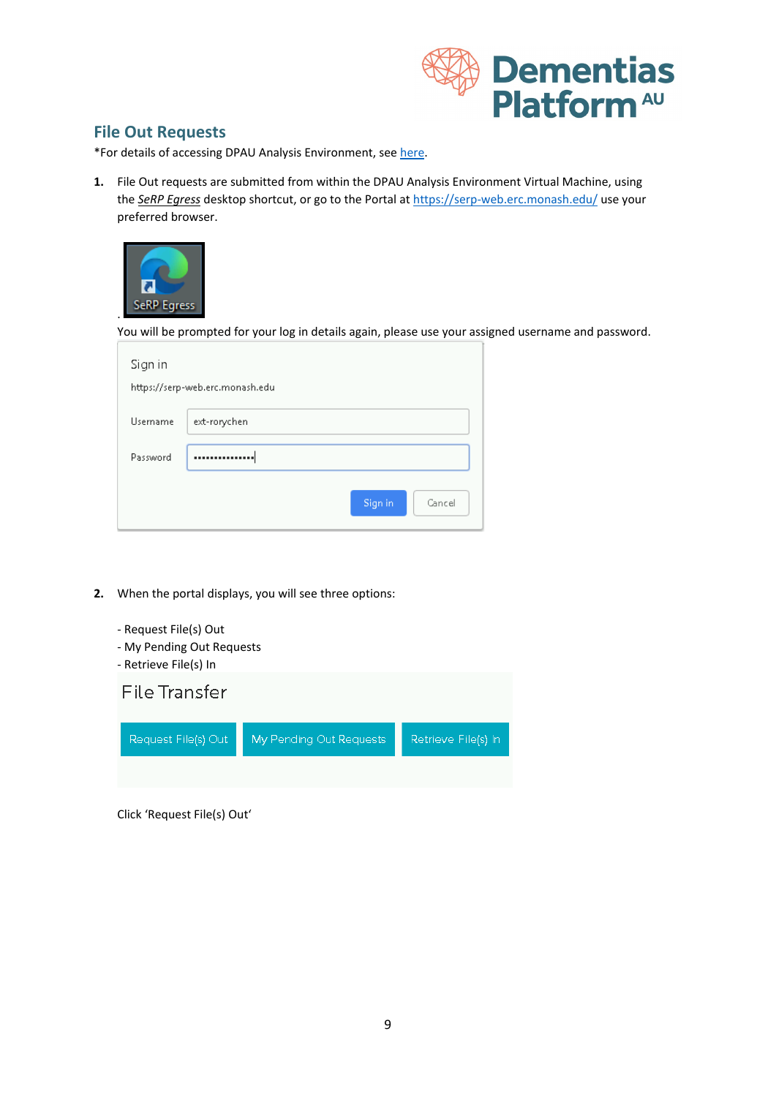

## **File Out Requests**

\*For details of accessing DPAU Analysis Environment, see [here.](https://dementiasplatform.com.au/sites/default/files/documents/1_Logging_in_to_DPAU_Analysis_Environment.pdf)

**1.** File Out requests are submitted from within the DPAU Analysis Environment Virtual Machine, using the *SeRP Egress* desktop shortcut, or go to the Portal at<https://serp-web.erc.monash.edu/> use your preferred browser.



You will be prompted for your log in details again, please use your assigned username and password.

| Sign in  | https://serp-web.erc.monash.edu |
|----------|---------------------------------|
| Username | ext-rorychen                    |
| Password |                                 |
|          | Sign in<br>Cancel               |

- **2.** When the portal displays, you will see three options:
	- Request File(s) Out
	- My Pending Out Requests
	- Retrieve File(s) In



Click 'Request File(s) Out'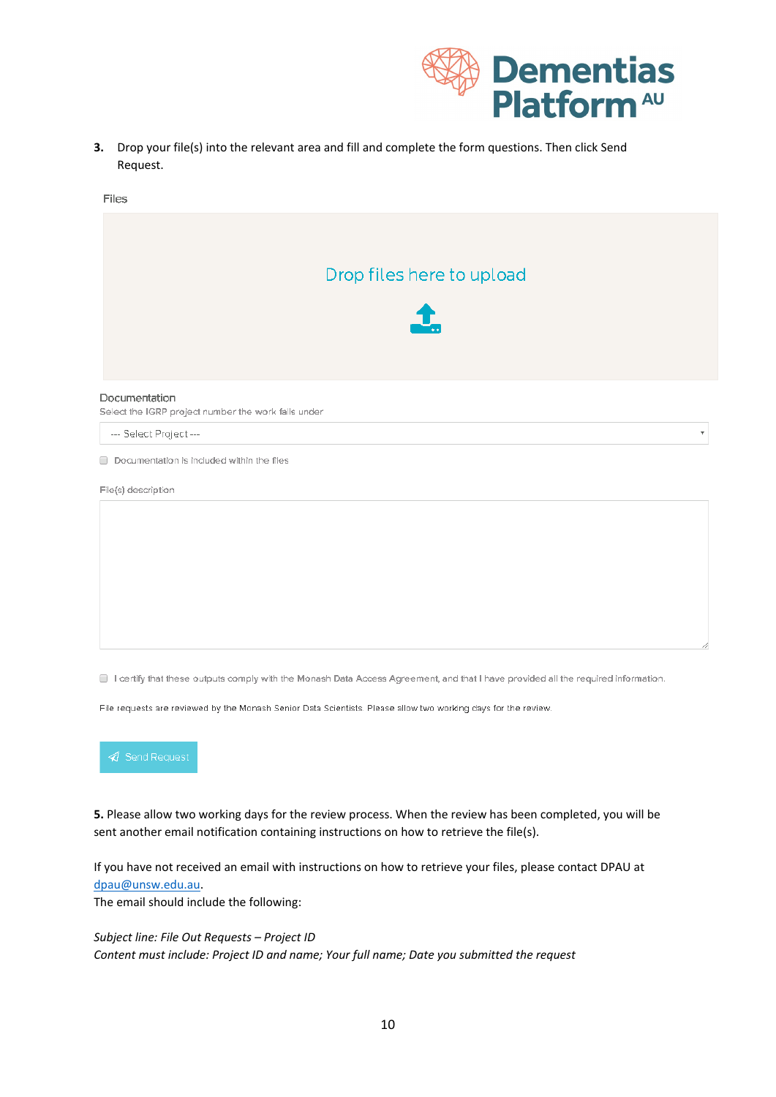

 $\bar{\mathbf{v}}$ 

**3.** Drop your file(s) into the relevant area and fill and complete the form questions. Then click Send Request.





--- Select Project ---

Documentation is included within the files

File(s) description

I certify that these outputs comply with the Monash Data Access Agreement, and that I have provided all the required information.

File requests are reviewed by the Monash Senior Data Scientists. Please allow two working days for the review.



**5.** Please allow two working days for the review process. When the review has been completed, you will be sent another email notification containing instructions on how to retrieve the file(s).

If you have not received an email with instructions on how to retrieve your files, please contact DPAU at [dpau@unsw.edu.au.](mailto:dpau@unsw.edu.au)

The email should include the following:

*Subject line: File Out Requests – Project ID Content must include: Project ID and name; Your full name; Date you submitted the request*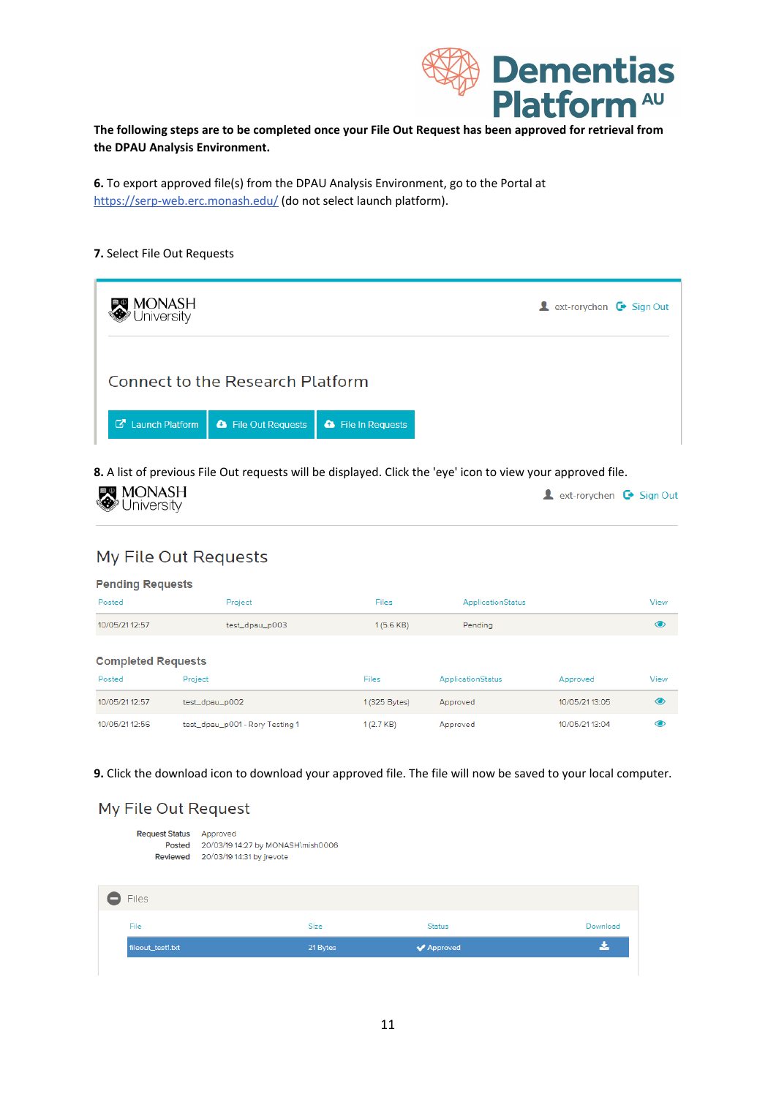

Download

医

**The following steps are to be completed once your File Out Request has been approved for retrieval from the DPAU Analysis Environment.**

**6.** To export approved file(s) from the DPAU Analysis Environment, go to the Portal at <https://serp-web.erc.monash.edu/> (do not select launch platform).

#### **7.** Select File Out Requests

| MONASH<br><b>Jniversity</b>                                                             | <b>A</b> ext-rorychen $\mathbf{\Theta}$ Sign Out |  |  |  |  |  |
|-----------------------------------------------------------------------------------------|--------------------------------------------------|--|--|--|--|--|
| Connect to the Research Platform                                                        |                                                  |  |  |  |  |  |
| <b>C</b> Launch Platform<br><b>&amp;</b> File Out Requests<br><b>a</b> File In Requests |                                                  |  |  |  |  |  |

**8.** A list of previous File Out requests will be displayed. Click the 'eye' icon to view your approved file.

| <b>MONASH</b><br>University |  | <b>A</b> ext-rorychen $\mathbb{G}$ Sign Out |  |  |  |
|-----------------------------|--|---------------------------------------------|--|--|--|
|-----------------------------|--|---------------------------------------------|--|--|--|

## My File Out Requests

| <b>Pending Requests</b>   |                                 |               |                          |                |                |
|---------------------------|---------------------------------|---------------|--------------------------|----------------|----------------|
| Posted                    | Project                         | <b>Files</b>  | <b>ApplicationStatus</b> |                | View           |
| 10/05/21 12:57            | test_dpau_p003                  | 1(5.6 KB)     | Pendina                  |                | $\bullet$      |
| <b>Completed Requests</b> |                                 |               |                          |                |                |
| Posted                    | Project                         | Files         | ApplicationStatus        | Approved       | View           |
| 10/05/21 12:57            | test_dpau_p002                  | 1 (325 Bytes) | Approved                 | 10/05/21 13:05 | $\circledcirc$ |
| 10/05/21 12:56            | test_dpau_p001 - Rory Testing 1 | 1(2.7 KB)     | Approved                 | 10/05/21 13:04 | $\bullet$      |

**9.** Click the download icon to download your approved file. The file will now be saved to your local computer.

| My File Out Request            |  |
|--------------------------------|--|
| <b>Request Status</b> Approved |  |

fileout\_test1.txt

|              | Posted 20/03/19 14:27 by MONASH\mish0006<br>Reviewed 20/03/19 14:31 by jrevote |             |               |
|--------------|--------------------------------------------------------------------------------|-------------|---------------|
| <b>Files</b> |                                                                                |             |               |
| File         |                                                                                | <b>Size</b> | <b>Status</b> |

21 Bytes

 $\blacktriangledown$  Approved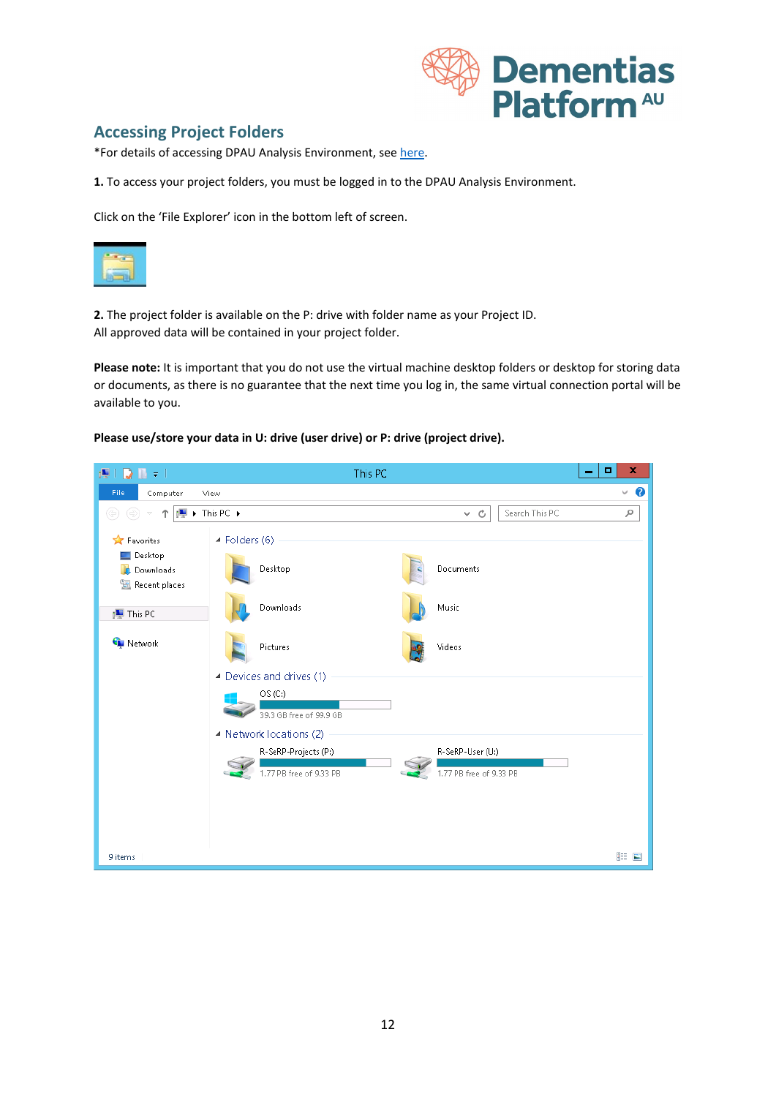

## **Accessing Project Folders**

\*For details of accessing DPAU Analysis Environment, see [here.](https://dementiasplatform.com.au/sites/default/files/documents/1_Logging_in_to_DPAU_Analysis_Environment.pdf)

**1.** To access your project folders, you must be logged in to the DPAU Analysis Environment.

Click on the 'File Explorer' icon in the bottom left of screen.



**2.** The project folder is available on the P: drive with folder name as your Project ID. All approved data will be contained in your project folder.

**Please note:** It is important that you do not use the virtual machine desktop folders or desktop for storing data or documents, as there is no guarantee that the next time you log in, the same virtual connection portal will be available to you.

#### **Please use/store your data in U: drive (user drive) or P: drive (project drive).**

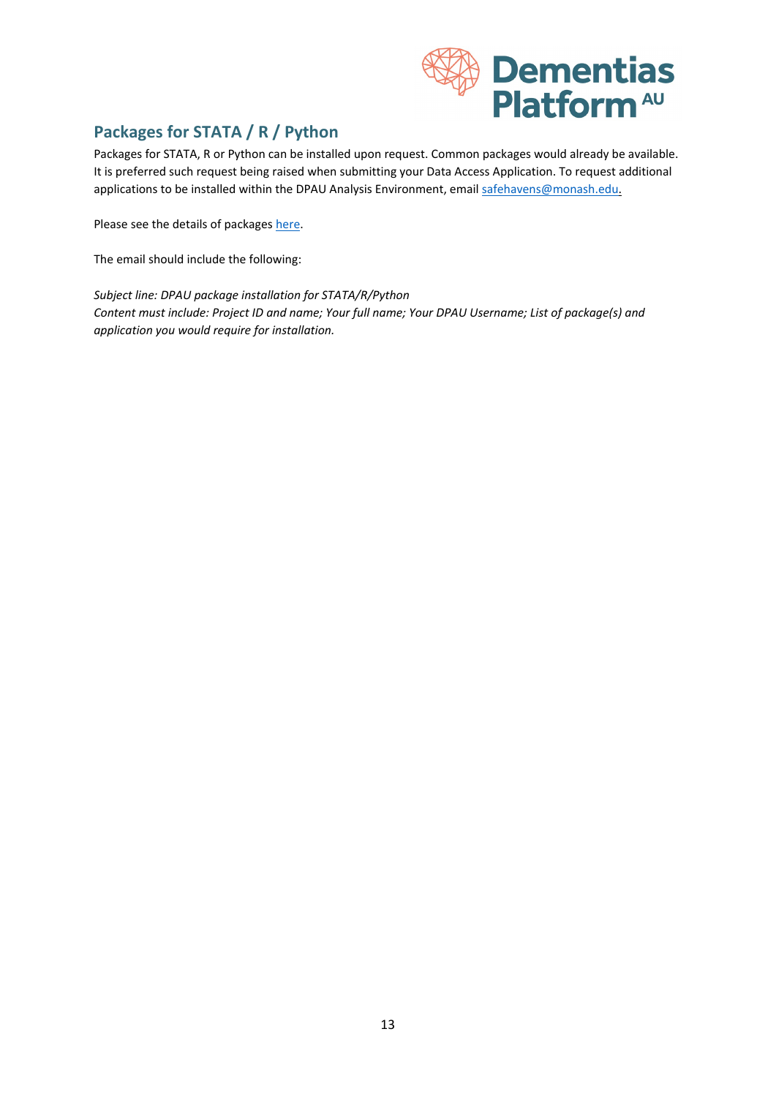

# **Packages for STATA / R / Python**

Packages for STATA, R or Python can be installed upon request. Common packages would already be available. It is preferred such request being raised when submitting your Data Access Application. To request additional applications to be installed within the DPAU Analysis Environment, email [safehavens@monash.edu.](mailto:safehaven@monash.edu)

Please see the details of package[s here.](https://www.dementiasplatform.com.au/sites/default/files/documents/6_Packages_for_STATA_R_Python.pdf)

The email should include the following:

*Subject line: DPAU package installation for STATA/R/Python Content must include: Project ID and name; Your full name; Your DPAU Username; List of package(s) and application you would require for installation.*